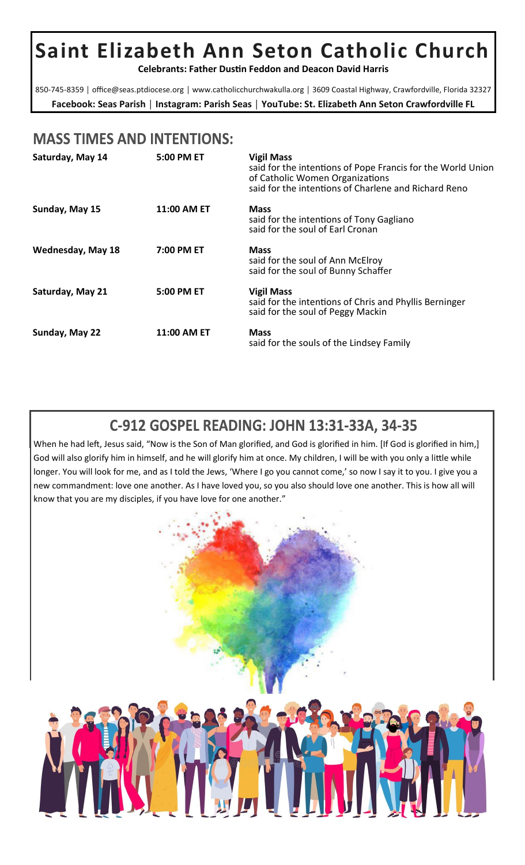# **Saint Elizabeth Ann Seton Catholic Church**

**Celebrants: Father Dustin Feddon and Deacon David Harris** 

**Facebook: Seas Parish** │ **Instagram: Parish Seas** │ **YouTube: St. Elizabeth Ann Seton Crawfordville FL** 850-745-8359 | office@seas.ptdiocese.org | www.catholicchurchwakulla.org | 3609 Coastal Highway, Crawfordville, Florida 32327

# **MASS TIMES AND INTENTIONS:**

| Saturday, May 14         | 5:00 PM ET  | <b>Vigil Mass</b><br>said for the intentions of Pope Francis for the World Union<br>of Catholic Women Organizations<br>said for the intentions of Charlene and Richard Reno |
|--------------------------|-------------|-----------------------------------------------------------------------------------------------------------------------------------------------------------------------------|
| Sunday, May 15           | 11:00 AM ET | <b>Mass</b><br>said for the intentions of Tony Gagliano<br>said for the soul of Earl Cronan                                                                                 |
| <b>Wednesday, May 18</b> | 7:00 PM ET  | <b>Mass</b><br>said for the soul of Ann McElroy<br>said for the soul of Bunny Schaffer                                                                                      |
| Saturday, May 21         | 5:00 PM ET  | <b>Vigil Mass</b><br>said for the intentions of Chris and Phyllis Berninger<br>said for the soul of Peggy Mackin                                                            |
| Sunday, May 22           | 11:00 AM ET | <b>Mass</b><br>said for the souls of the Lindsey Family                                                                                                                     |

# C-912 GOSPEL READING: JOHN 13:31-33A, 34-35

When he had left, Jesus said, "Now is the Son of Man glorified, and God is glorified in him. [If God is glorified in him,] God will also glorify him in himself, and he will glorify him at once. My children, I will be with you only a little while longer. You will look for me, and as I told the Jews, 'Where I go you cannot come,' so now I say it to you. I give you a new commandment: love one another. As I have loved you, so you also should love one another. This is how all will know that you are my disciples, if you have love for one another."